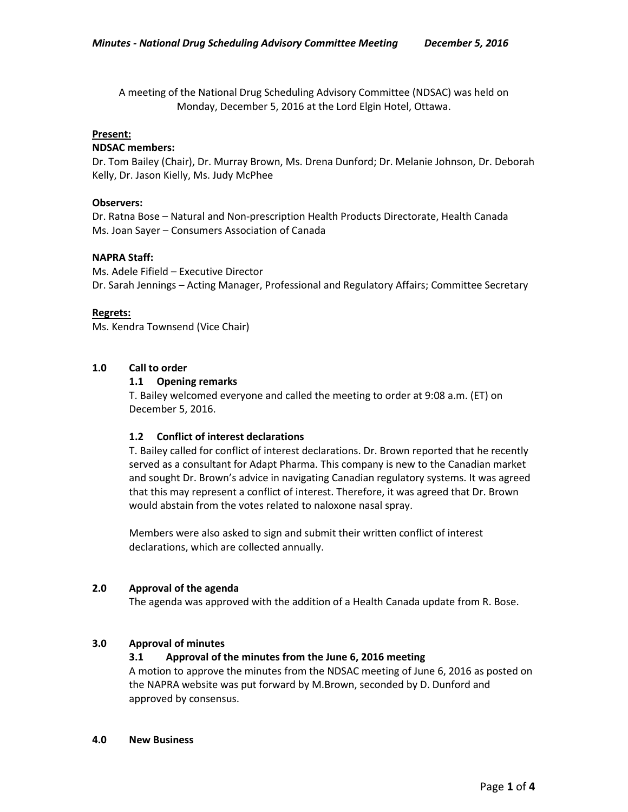A meeting of the National Drug Scheduling Advisory Committee (NDSAC) was held on Monday, December 5, 2016 at the Lord Elgin Hotel, Ottawa.

### **Present:**

#### **NDSAC members:**

Dr. Tom Bailey (Chair), Dr. Murray Brown, Ms. Drena Dunford; Dr. Melanie Johnson, Dr. Deborah Kelly, Dr. Jason Kielly, Ms. Judy McPhee

### **Observers:**

Dr. Ratna Bose – Natural and Non-prescription Health Products Directorate, Health Canada Ms. Joan Sayer – Consumers Association of Canada

#### **NAPRA Staff:**

Ms. Adele Fifield – Executive Director Dr. Sarah Jennings – Acting Manager, Professional and Regulatory Affairs; Committee Secretary

#### **Regrets:**

Ms. Kendra Townsend (Vice Chair)

### **1.0 Call to order**

#### **1.1 Opening remarks**

T. Bailey welcomed everyone and called the meeting to order at 9:08 a.m. (ET) on December 5, 2016.

### **1.2 Conflict of interest declarations**

T. Bailey called for conflict of interest declarations. Dr. Brown reported that he recently served as a consultant for Adapt Pharma. This company is new to the Canadian market and sought Dr. Brown's advice in navigating Canadian regulatory systems. It was agreed that this may represent a conflict of interest. Therefore, it was agreed that Dr. Brown would abstain from the votes related to naloxone nasal spray.

Members were also asked to sign and submit their written conflict of interest declarations, which are collected annually.

### **2.0 Approval of the agenda**

The agenda was approved with the addition of a Health Canada update from R. Bose.

### **3.0 Approval of minutes**

### **3.1 Approval of the minutes from the June 6, 2016 meeting**

A motion to approve the minutes from the NDSAC meeting of June 6, 2016 as posted on the NAPRA website was put forward by M.Brown, seconded by D. Dunford and approved by consensus.

#### **4.0 New Business**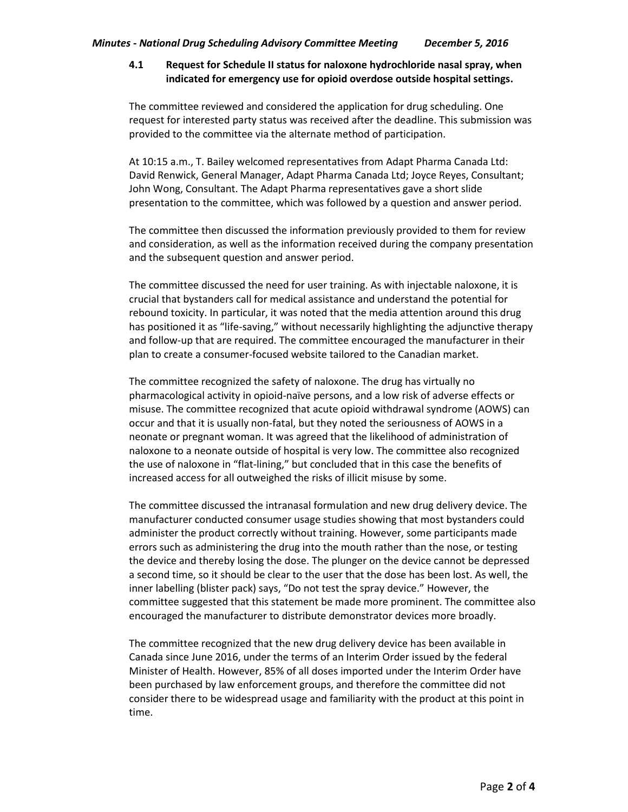# **4.1 Request for Schedule II status for naloxone hydrochloride nasal spray, when indicated for emergency use for opioid overdose outside hospital settings.**

The committee reviewed and considered the application for drug scheduling. One request for interested party status was received after the deadline. This submission was provided to the committee via the alternate method of participation.

At 10:15 a.m., T. Bailey welcomed representatives from Adapt Pharma Canada Ltd: David Renwick, General Manager, Adapt Pharma Canada Ltd; Joyce Reyes, Consultant; John Wong, Consultant. The Adapt Pharma representatives gave a short slide presentation to the committee, which was followed by a question and answer period.

The committee then discussed the information previously provided to them for review and consideration, as well as the information received during the company presentation and the subsequent question and answer period.

The committee discussed the need for user training. As with injectable naloxone, it is crucial that bystanders call for medical assistance and understand the potential for rebound toxicity. In particular, it was noted that the media attention around this drug has positioned it as "life-saving," without necessarily highlighting the adjunctive therapy and follow-up that are required. The committee encouraged the manufacturer in their plan to create a consumer-focused website tailored to the Canadian market.

The committee recognized the safety of naloxone. The drug has virtually no pharmacological activity in opioid-naïve persons, and a low risk of adverse effects or misuse. The committee recognized that acute opioid withdrawal syndrome (AOWS) can occur and that it is usually non-fatal, but they noted the seriousness of AOWS in a neonate or pregnant woman. It was agreed that the likelihood of administration of naloxone to a neonate outside of hospital is very low. The committee also recognized the use of naloxone in "flat-lining," but concluded that in this case the benefits of increased access for all outweighed the risks of illicit misuse by some.

The committee discussed the intranasal formulation and new drug delivery device. The manufacturer conducted consumer usage studies showing that most bystanders could administer the product correctly without training. However, some participants made errors such as administering the drug into the mouth rather than the nose, or testing the device and thereby losing the dose. The plunger on the device cannot be depressed a second time, so it should be clear to the user that the dose has been lost. As well, the inner labelling (blister pack) says, "Do not test the spray device." However, the committee suggested that this statement be made more prominent. The committee also encouraged the manufacturer to distribute demonstrator devices more broadly.

The committee recognized that the new drug delivery device has been available in Canada since June 2016, under the terms of an Interim Order issued by the federal Minister of Health. However, 85% of all doses imported under the Interim Order have been purchased by law enforcement groups, and therefore the committee did not consider there to be widespread usage and familiarity with the product at this point in time.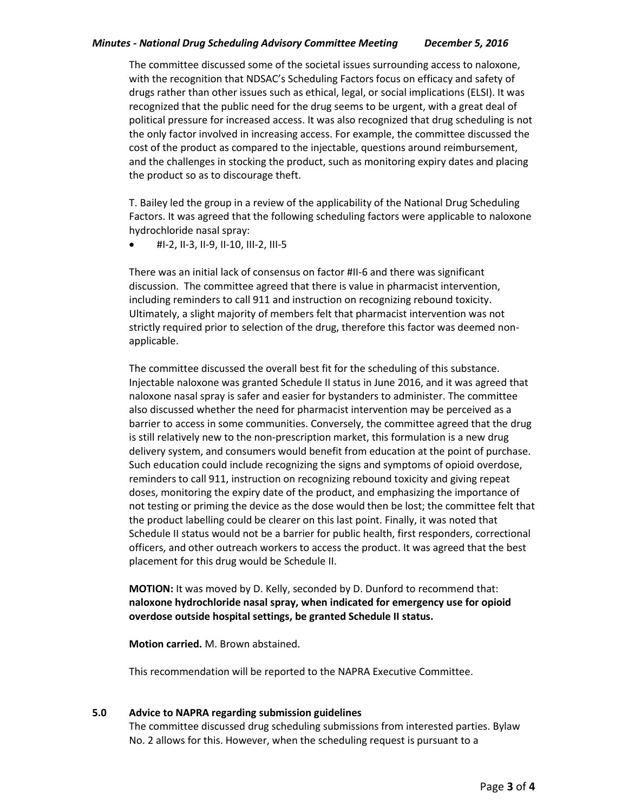# *Minutes - National Drug Scheduling Advisory Committee Meeting December 5, 2016*

The committee discussed some of the societal issues surrounding access to naloxone, with the recognition that NDSAC's Scheduling Factors focus on efficacy and safety of drugs rather than other issues such as ethical, legal, or social implications (ELSI). It was recognized that the public need for the drug seems to be urgent, with a great deal of political pressure for increased access. It was also recognized that drug scheduling is not the only factor involved in increasing access. For example, the committee discussed the cost of the product as compared to the injectable, questions around reimbursement, and the challenges in stocking the product, such as monitoring expiry dates and placing the product so as to discourage theft.

T. Bailey led the group in a review of the applicability of the National Drug Scheduling Factors. It was agreed that the following scheduling factors were applicable to naloxone hydrochloride nasal spray:

 $\bullet$  #I-2, II-3, II-9, II-10, III-2, III-5

There was an initial lack of consensus on factor #II-6 and there was significant discussion. The committee agreed that there is value in pharmacist intervention, including reminders to call 911 and instruction on recognizing rebound toxicity. Ultimately, a slight majority of members felt that pharmacist intervention was not strictly required prior to selection of the drug, therefore this factor was deemed nonapplicable.

The committee discussed the overall best fit for the scheduling of this substance. Injectable naloxone was granted Schedule II status in June 2016, and it was agreed that naloxone nasal spray is safer and easier for bystanders to administer. The committee also discussed whether the need for pharmacist intervention may be perceived as a barrier to access in some communities. Conversely, the committee agreed that the drug is still relatively new to the non-prescription market, this formulation is a new drug delivery system, and consumers would benefit from education at the point of purchase. Such education could include recognizing the signs and symptoms of opioid overdose, reminders to call 911, instruction on recognizing rebound toxicity and giving repeat doses, monitoring the expiry date of the product, and emphasizing the importance of not testing or priming the device as the dose would then be lost; the committee felt that the product labelling could be clearer on this last point. Finally, it was noted that Schedule II status would not be a barrier for public health, first responders, correctional officers, and other outreach workers to access the product. It was agreed that the best placement for this drug would be Schedule II.

**MOTION:** It was moved by D. Kelly, seconded by D. Dunford to recommend that: **naloxone hydrochloride nasal spray, when indicated for emergency use for opioid overdose outside hospital settings, be granted Schedule II status.**

**Motion carried.** M. Brown abstained.

This recommendation will be reported to the NAPRA Executive Committee.

## **5.0 Advice to NAPRA regarding submission guidelines**

The committee discussed drug scheduling submissions from interested parties. Bylaw No. 2 allows for this. However, when the scheduling request is pursuant to a